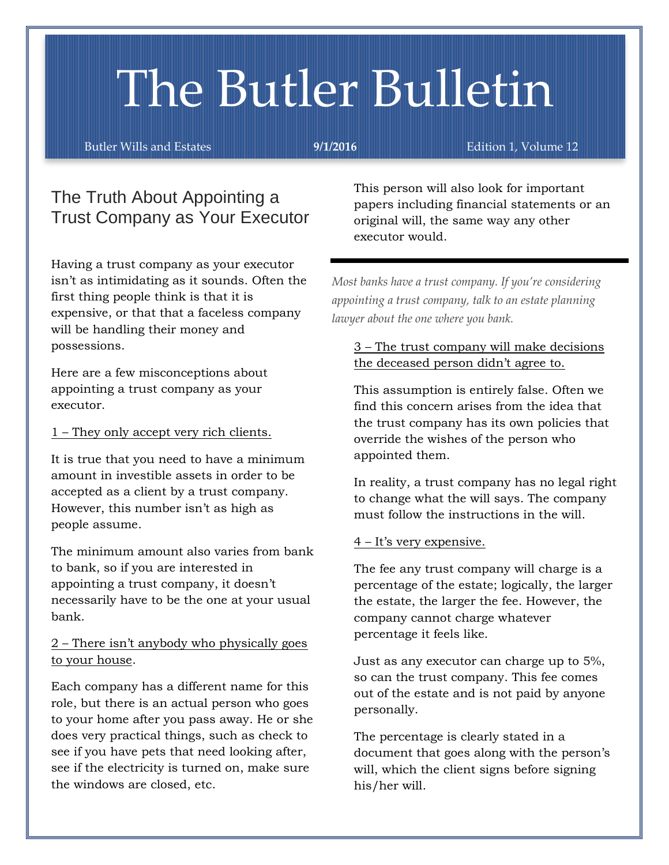# The Butler Bulletin

Butler Wills and Estates **9/1/2016** Edition 1, Volume 12

## The Truth About Appointing a Trust Company as Your Executor

Having a trust company as your executor isn't as intimidating as it sounds. Often the first thing people think is that it is expensive, or that that a faceless company will be handling their money and possessions.

Here are a few misconceptions about appointing a trust company as your executor.

### 1 – They only accept very rich clients.

It is true that you need to have a minimum amount in investible assets in order to be accepted as a client by a trust company. However, this number isn't as high as people assume.

The minimum amount also varies from bank to bank, so if you are interested in appointing a trust company, it doesn't necessarily have to be the one at your usual bank.

### 2 – There isn't anybody who physically goes to your house.

Each company has a different name for this role, but there is an actual person who goes to your home after you pass away. He or she does very practical things, such as check to see if you have pets that need looking after, see if the electricity is turned on, make sure the windows are closed, etc.

This person will also look for important papers including financial statements or an original will, the same way any other executor would.

*Most banks have a trust company. If you're considering appointing a trust company, talk to an estate planning lawyer about the one where you bank.* 

### 3 – The trust company will make decisions the deceased person didn't agree to.

This assumption is entirely false. Often we find this concern arises from the idea that the trust company has its own policies that override the wishes of the person who appointed them.

In reality, a trust company has no legal right to change what the will says. The company must follow the instructions in the will.

### 4 – It's very expensive.

The fee any trust company will charge is a percentage of the estate; logically, the larger the estate, the larger the fee. However, the company cannot charge whatever percentage it feels like.

Just as any executor can charge up to 5%, so can the trust company. This fee comes out of the estate and is not paid by anyone personally.

The percentage is clearly stated in a document that goes along with the person's will, which the client signs before signing his/her will.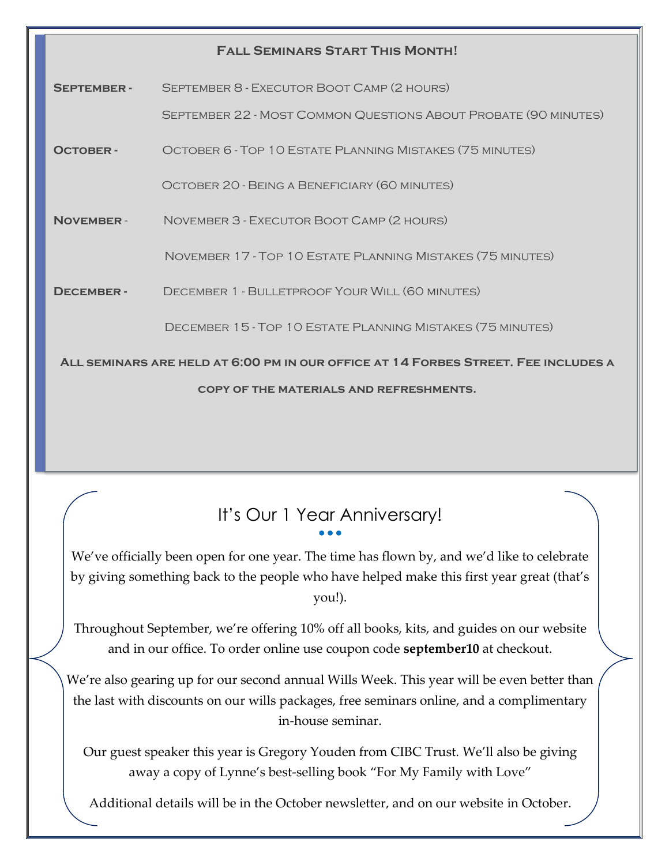| <b>FALL SEMINARS START THIS MONTH!</b>                                             |                                                                        |
|------------------------------------------------------------------------------------|------------------------------------------------------------------------|
| <b>SEPTEMBER-</b>                                                                  | SEPTEMBER 8 - EXECUTOR BOOT CAMP (2 HOURS)                             |
|                                                                                    | <b>SEPTEMBER 22 - MOST COMMON QUESTIONS ABOUT PROBATE (90 MINUTES)</b> |
| <b>OCTOBER-</b>                                                                    | OCTOBER 6 - TOP 10 ESTATE PLANNING MISTAKES (75 MINUTES)               |
|                                                                                    | OCTOBER 20 - BEING A BENEFICIARY (60 MINUTES)                          |
| <b>NOVEMBER-</b>                                                                   | NOVEMBER 3 - EXECUTOR BOOT CAMP (2 HOURS)                              |
|                                                                                    | NOVEMBER 17 - TOP 10 ESTATE PLANNING MISTAKES (75 MINUTES)             |
| <b>DECEMBER-</b>                                                                   | DECEMBER 1 - BULLETPROOF YOUR WILL (60 MINUTES)                        |
|                                                                                    | DECEMBER 15 - TOP 10 ESTATE PLANNING MISTAKES (75 MINUTES)             |
| ALL SEMINARS ARE HELD AT 6:00 PM IN OUR OFFICE AT 14 FORBES STREET. FEE INCLUDES A |                                                                        |
| <b>COPY OF THE MATERIALS AND REFRESHMENTS.</b>                                     |                                                                        |

# It's Our 1 Year Anniversary!

We've officially been open for one year. The time has flown by, and we'd like to celebrate by giving something back to the people who have helped make this first year great (that's you!).

Throughout September, we're offering 10% off all books, kits, and guides on our website and in our office. To order online use coupon code **september10** at checkout.

We're also gearing up for our second annual Wills Week. This year will be even better than the last with discounts on our wills packages, free seminars online, and a complimentary in-house seminar.

Our guest speaker this year is Gregory Youden from CIBC Trust. We'll also be giving away a copy of Lynne's best-selling book "For My Family with Love"

Additional details will be in the October newsletter, and on our website in October.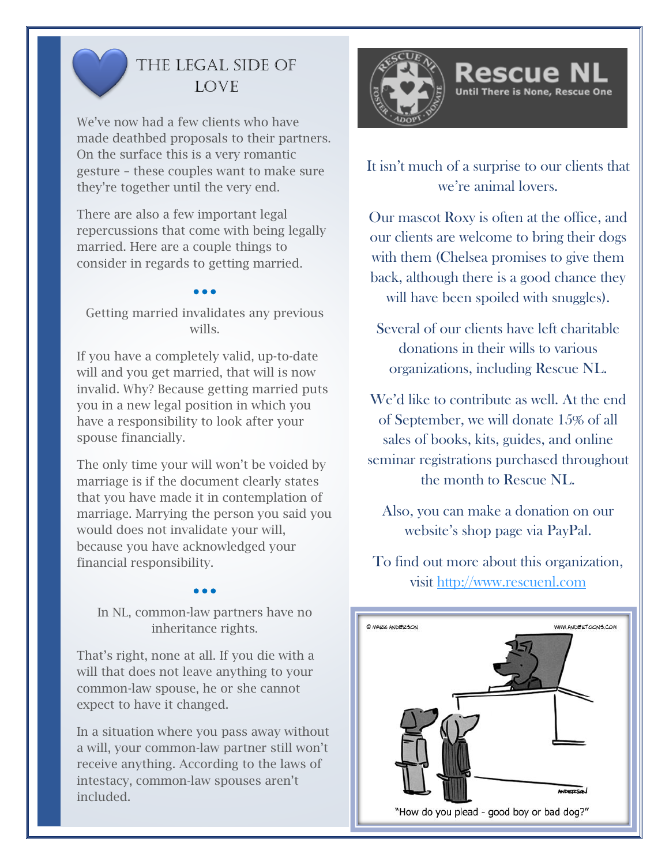

# The Legal Side of **LOVE**

We've now had a few clients who have made deathbed proposals to their partners. On the surface this is a very romantic gesture – these couples want to make sure they're together until the very end.

There are also a few important legal repercussions that come with being legally married. Here are a couple things to consider in regards to getting married.

Getting married invalidates any previous wills.

If you have a completely valid, up-to-date will and you get married, that will is now invalid. Why? Because getting married puts you in a new legal position in which you have a responsibility to look after your spouse financially.

The only time your will won't be voided by marriage is if the document clearly states that you have made it in contemplation of marriage. Marrying the person you said you would does not invalidate your will, because you have acknowledged your financial responsibility.

In NL, common-law partners have no inheritance rights.

That's right, none at all. If you die with a will that does not leave anything to your common-law spouse, he or she cannot expect to have it changed.

In a situation where you pass away without a will, your common-law partner still won't receive anything. According to the laws of intestacy, common-law spouses aren't included.



It isn't much of a surprise to our clients that we're animal lovers.

Until There is None, Rescue One

Our mascot Roxy is often at the office, and our clients are welcome to bring their dogs with them (Chelsea promises to give them back, although there is a good chance they will have been spoiled with snuggles).

Several of our clients have left charitable donations in their wills to various organizations, including Rescue NL.

We'd like to contribute as well. At the end of September, we will donate 15% of all sales of books, kits, guides, and online seminar registrations purchased throughout the month to Rescue NL.

Also, you can make a donation on our website's shop page via PayPal.

To find out more about this organization, visit [http://www.rescuenl.com](http://www.rescuenl.com/)